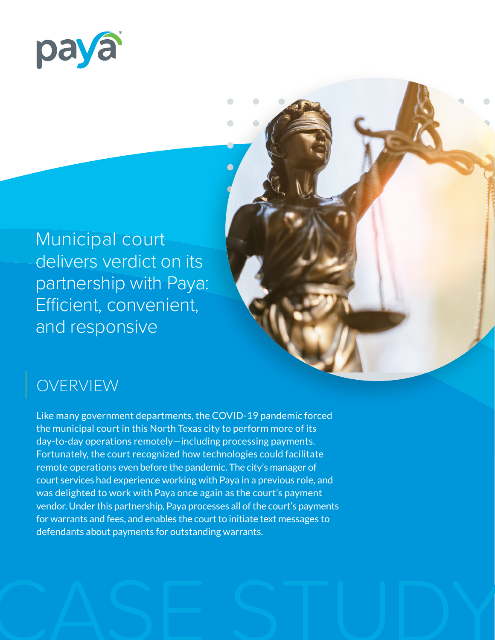

Municipal court delivers verdict on its partnership with Paya: Efficient, convenient, and responsive

# OVERVIEW

Like many government departments, the COVID-19 pandemic forced the municipal court in this North Texas city to perform more of its day-to-day operations remotely—including processing payments. Fortunately, the court recognized how technologies could facilitate remote operations even before the pandemic. The city's manager of court services had experience working with Paya in a previous role, and was delighted to work with Paya once again as the court's payment vendor. Under this partnership, Paya processes all of the court's payments for warrants and fees, and enables the court to initiate text messages to defendants about payments for outstanding warrants.